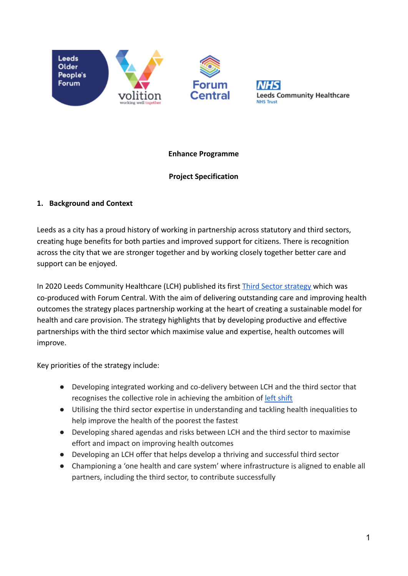



## **Enhance Programme**

# **Project Specification**

# **1. Background and Context**

Leeds as a city has a proud history of working in partnership across statutory and third sectors, creating huge benefits for both parties and improved support for citizens. There is recognition across the city that we are stronger together and by working closely together better care and support can be enjoyed.

In 2020 Leeds Community Healthcare (LCH) published its first [Third Sector strategy](https://www.leedscommunityhealthcare.nhs.uk/about-us-new/access-to-information/third-sector-strategy/) which was co-produced with Forum Central. With the aim of delivering outstanding care and improving health outcomes the strategy places partnership working at the heart of creating a sustainable model for health and care provision. The strategy highlights that by developing productive and effective partnerships with the third sector which maximise value and expertise, health outcomes will improve.

Key priorities of the strategy include:

- Developing integrated working and co-delivery between LCH and the third sector that recognises the collective role in achieving the ambition of [left shift](https://www.leedsccg.nhs.uk/publications/leedsleftshiftblueprint/)
- Utilising the third sector expertise in understanding and tackling health inequalities to help improve the health of the poorest the fastest
- Developing shared agendas and risks between LCH and the third sector to maximise effort and impact on improving health outcomes
- Developing an LCH offer that helps develop a thriving and successful third sector
- Championing a 'one health and care system' where infrastructure is aligned to enable all partners, including the third sector, to contribute successfully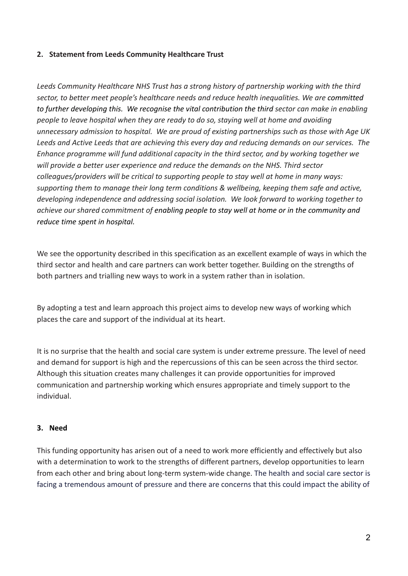## **2. Statement from Leeds Community Healthcare Trust**

*Leeds Community Healthcare NHS Trust has a strong history of partnership working with the third sector, to better meet people's healthcare needs and reduce health inequalities. We are committed to further developing this. We recognise the vital contribution the third sector can make in enabling people to leave hospital when they are ready to do so, staying well at home and avoiding unnecessary admission to hospital. We are proud of existing partnerships such as those with Age UK Leeds and Active Leeds that are achieving this every day and reducing demands on our services. The Enhance programme will fund additional capacity in the third sector, and by working together we will provide a better user experience and reduce the demands on the NHS. Third sector colleagues/providers will be critical to supporting people to stay well at home in many ways: supporting them to manage their long term conditions & wellbeing, keeping them safe and active, developing independence and addressing social isolation. We look forward to working together to achieve our shared commitment of enabling people to stay well at home or in the community and reduce time spent in hospital.*

We see the opportunity described in this specification as an excellent example of ways in which the third sector and health and care partners can work better together. Building on the strengths of both partners and trialling new ways to work in a system rather than in isolation.

By adopting a test and learn approach this project aims to develop new ways of working which places the care and support of the individual at its heart.

It is no surprise that the health and social care system is under extreme pressure. The level of need and demand for support is high and the repercussions of this can be seen across the third sector. Although this situation creates many challenges it can provide opportunities for improved communication and partnership working which ensures appropriate and timely support to the individual.

#### **3. Need**

This funding opportunity has arisen out of a need to work more efficiently and effectively but also with a determination to work to the strengths of different partners, develop opportunities to learn from each other and bring about long-term system-wide change. The health and social care sector is facing a tremendous amount of pressure and there are concerns that this could impact the ability of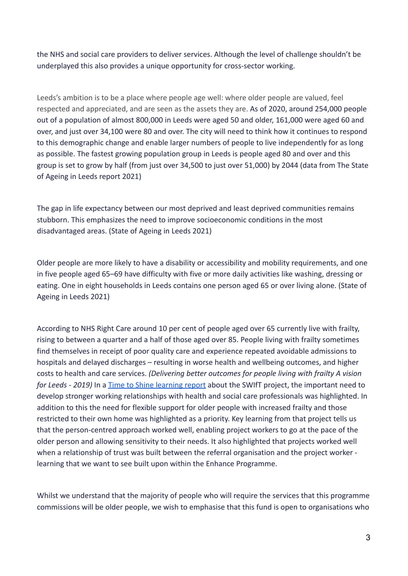the NHS and social care providers to deliver services. Although the level of challenge shouldn't be underplayed this also provides a unique opportunity for cross-sector working.

Leeds's ambition is to be a place where people age well: where older people are valued, feel respected and appreciated, and are seen as the assets they are. As of 2020, around 254,000 people out of a population of almost 800,000 in Leeds were aged 50 and older, 161,000 were aged 60 and over, and just over 34,100 were 80 and over. The city will need to think how it continues to respond to this demographic change and enable larger numbers of people to live independently for as long as possible. The fastest growing population group in Leeds is people aged 80 and over and this group is set to grow by half (from just over 34,500 to just over 51,000) by 2044 (data from The State of Ageing in Leeds report 2021)

The gap in life expectancy between our most deprived and least deprived communities remains stubborn. This emphasizes the need to improve socioeconomic conditions in the most disadvantaged areas. (State of Ageing in Leeds 2021)

Older people are more likely to have a disability or accessibility and mobility requirements, and one in five people aged 65–69 have difficulty with five or more daily activities like washing, dressing or eating. One in eight households in Leeds contains one person aged 65 or over living alone. (State of Ageing in Leeds 2021)

According to NHS Right Care around 10 per cent of people aged over 65 currently live with frailty, rising to between a quarter and a half of those aged over 85. People living with frailty sometimes find themselves in receipt of poor quality care and experience repeated avoidable admissions to hospitals and delayed discharges – resulting in worse health and wellbeing outcomes, and higher costs to health and care services. *(Delivering better outcomes for people living with frailty A vision for Leeds - 2019)* In a [Time to Shine learning report](https://www.opforum.org.uk/wp-content/uploads/2021/12/Supporting-Wellbeing-and-Independence-for-frailty-SWIFt-report-WEB-2.pdf) about the SWIfT project, the important need to develop stronger working relationships with health and social care professionals was highlighted. In addition to this the need for flexible support for older people with increased frailty and those restricted to their own home was highlighted as a priority. Key learning from that project tells us that the person-centred approach worked well, enabling project workers to go at the pace of the older person and allowing sensitivity to their needs. It also highlighted that projects worked well when a relationship of trust was built between the referral organisation and the project worker learning that we want to see built upon within the Enhance Programme.

Whilst we understand that the majority of people who will require the services that this programme commissions will be older people, we wish to emphasise that this fund is open to organisations who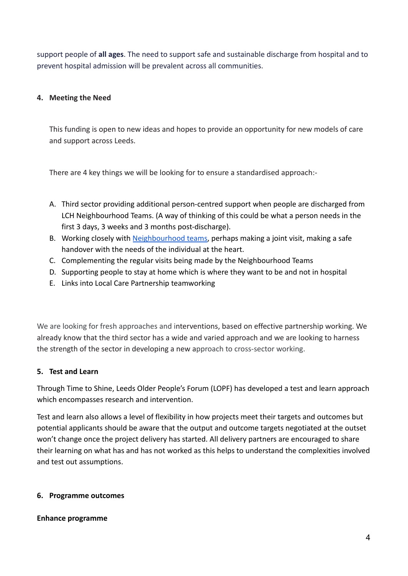support people of **all ages**. The need to support safe and sustainable discharge from hospital and to prevent hospital admission will be prevalent across all communities.

## **4. Meeting the Need**

This funding is open to new ideas and hopes to provide an opportunity for new models of care and support across Leeds.

There are 4 key things we will be looking for to ensure a standardised approach:-

- A. Third sector providing additional person-centred support when people are discharged from LCH Neighbourhood Teams. (A way of thinking of this could be what a person needs in the first 3 days, 3 weeks and 3 months post-discharge).
- B. Working closely with [Neighbourhood teams](https://www.leedscommunityhealthcare.nhs.uk/our-services-a-z/neighbourhood-teams/), perhaps making a joint visit, making a safe handover with the needs of the individual at the heart.
- C. Complementing the regular visits being made by the Neighbourhood Teams
- D. Supporting people to stay at home which is where they want to be and not in hospital
- E. Links into Local Care Partnership teamworking

We are looking for fresh approaches and interventions, based on effective partnership working. We already know that the third sector has a wide and varied approach and we are looking to harness the strength of the sector in developing a new approach to cross-sector working.

## **5. Test and Learn**

Through Time to Shine, Leeds Older People's Forum (LOPF) has developed a test and learn approach which encompasses research and intervention.

Test and learn also allows a level of flexibility in how projects meet their targets and outcomes but potential applicants should be aware that the output and outcome targets negotiated at the outset won't change once the project delivery has started. All delivery partners are encouraged to share their learning on what has and has not worked as this helps to understand the complexities involved and test out assumptions.

## **6. Programme outcomes**

#### **Enhance programme**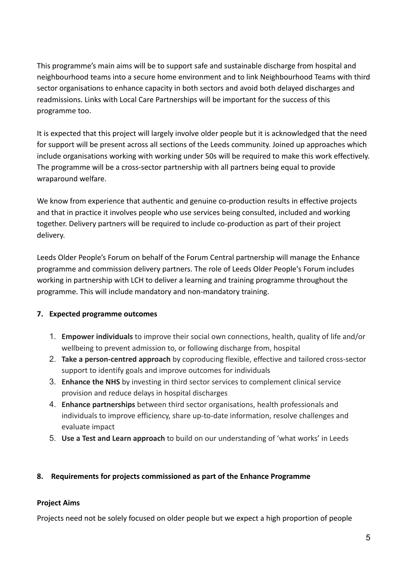This programme's main aims will be to support safe and sustainable discharge from hospital and neighbourhood teams into a secure home environment and to link Neighbourhood Teams with third sector organisations to enhance capacity in both sectors and avoid both delayed discharges and readmissions. Links with Local Care Partnerships will be important for the success of this programme too.

It is expected that this project will largely involve older people but it is acknowledged that the need for support will be present across all sections of the Leeds community. Joined up approaches which include organisations working with working under 50s will be required to make this work effectively. The programme will be a cross-sector partnership with all partners being equal to provide wraparound welfare.

We know from experience that authentic and genuine co-production results in effective projects and that in practice it involves people who use services being consulted, included and working together. Delivery partners will be required to include co-production as part of their project delivery.

Leeds Older People's Forum on behalf of the Forum Central partnership will manage the Enhance programme and commission delivery partners. The role of Leeds Older People's Forum includes working in partnership with LCH to deliver a learning and training programme throughout the programme. This will include mandatory and non-mandatory training.

# **7. Expected programme outcomes**

- 1. **Empower individuals** to improve their social own connections, health, quality of life and/or wellbeing to prevent admission to, or following discharge from, hospital
- 2. **Take a person-centred approach** by coproducing flexible, effective and tailored cross-sector support to identify goals and improve outcomes for individuals
- 3. **Enhance the NHS** by investing in third sector services to complement clinical service provision and reduce delays in hospital discharges
- 4. **Enhance partnerships** between third sector organisations, health professionals and individuals to improve efficiency, share up-to-date information, resolve challenges and evaluate impact
- 5. **Use a Test and Learn approach** to build on our understanding of 'what works' in Leeds

## **8. Requirements for projects commissioned as part of the Enhance Programme**

## **Project Aims**

Projects need not be solely focused on older people but we expect a high proportion of people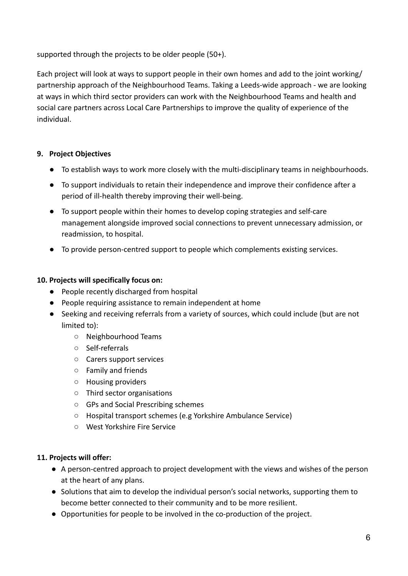supported through the projects to be older people (50+).

Each project will look at ways to support people in their own homes and add to the joint working/ partnership approach of the Neighbourhood Teams. Taking a Leeds-wide approach - we are looking at ways in which third sector providers can work with the Neighbourhood Teams and health and social care partners across Local Care Partnerships to improve the quality of experience of the individual.

## **9. Project Objectives**

- To establish ways to work more closely with the multi-disciplinary teams in neighbourhoods.
- To support individuals to retain their independence and improve their confidence after a period of ill-health thereby improving their well-being.
- To support people within their homes to develop coping strategies and self-care management alongside improved social connections to prevent unnecessary admission, or readmission, to hospital.
- **●** To provide person-centred support to people which complements existing services.

## **10. Projects will specifically focus on:**

- People recently discharged from hospital
- People requiring assistance to remain independent at home
- Seeking and receiving referrals from a variety of sources, which could include (but are not limited to):
	- Neighbourhood Teams
	- Self-referrals
	- Carers support services
	- Family and friends
	- Housing providers
	- Third sector organisations
	- GPs and Social Prescribing schemes
	- Hospital transport schemes (e.g Yorkshire Ambulance Service)
	- West Yorkshire Fire Service

## **11. Projects will offer:**

- A person-centred approach to project development with the views and wishes of the person at the heart of any plans.
- Solutions that aim to develop the individual person's social networks, supporting them to become better connected to their community and to be more resilient.
- Opportunities for people to be involved in the co-production of the project.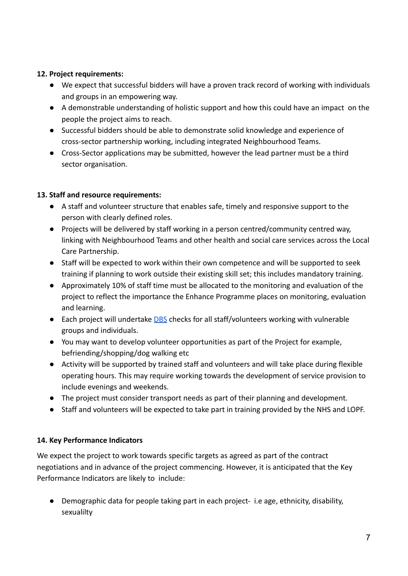## **12. Project requirements:**

- We expect that successful bidders will have a proven track record of working with individuals and groups in an empowering way.
- A demonstrable understanding of holistic support and how this could have an impact on the people the project aims to reach.
- Successful bidders should be able to demonstrate solid knowledge and experience of cross-sector partnership working, including integrated Neighbourhood Teams.
- Cross-Sector applications may be submitted, however the lead partner must be a third sector organisation.

# **13. Staff and resource requirements:**

- A staff and volunteer structure that enables safe, timely and responsive support to the person with clearly defined roles.
- Projects will be delivered by staff working in a person centred/community centred way, linking with Neighbourhood Teams and other health and social care services across the Local Care Partnership.
- Staff will be expected to work within their own competence and will be supported to seek training if planning to work outside their existing skill set; this includes mandatory training.
- Approximately 10% of staff time must be allocated to the monitoring and evaluation of the project to reflect the importance the Enhance Programme places on monitoring, evaluation and learning.
- Each project will undertake **[DBS](https://www.gov.uk/dbs-check-applicant-criminal-record)** checks for all staff/volunteers working with vulnerable groups and individuals.
- You may want to develop volunteer opportunities as part of the Project for example, befriending/shopping/dog walking etc
- Activity will be supported by trained staff and volunteers and will take place during flexible operating hours. This may require working towards the development of service provision to include evenings and weekends.
- The project must consider transport needs as part of their planning and development.
- Staff and volunteers will be expected to take part in training provided by the NHS and LOPF.

# **14. Key Performance Indicators**

We expect the project to work towards specific targets as agreed as part of the contract negotiations and in advance of the project commencing. However, it is anticipated that the Key Performance Indicators are likely to include:

● Demographic data for people taking part in each project- i.e age, ethnicity, disability, sexualilty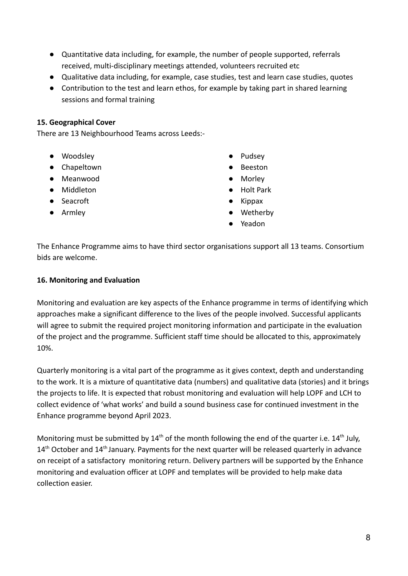- Quantitative data including, for example, the number of people supported, referrals received, multi-disciplinary meetings attended, volunteers recruited etc
- Qualitative data including, for example, case studies, test and learn case studies, quotes
- Contribution to the test and learn ethos, for example by taking part in shared learning sessions and formal training

#### **15. Geographical Cover**

There are 13 Neighbourhood Teams across Leeds:-

- Woodsley
- Chapeltown
- Meanwood
- Middleton
- Seacroft
- Armley
- Pudsey
- Beeston
- Morley
- Holt Park
- Kippax
- Wetherby
- Yeadon

The Enhance Programme aims to have third sector organisations support all 13 teams. Consortium bids are welcome.

#### **16. Monitoring and Evaluation**

Monitoring and evaluation are key aspects of the Enhance programme in terms of identifying which approaches make a significant difference to the lives of the people involved. Successful applicants will agree to submit the required project monitoring information and participate in the evaluation of the project and the programme. Sufficient staff time should be allocated to this, approximately 10%.

Quarterly monitoring is a vital part of the programme as it gives context, depth and understanding to the work. It is a mixture of quantitative data (numbers) and qualitative data (stories) and it brings the projects to life. It is expected that robust monitoring and evaluation will help LOPF and LCH to collect evidence of 'what works' and build a sound business case for continued investment in the Enhance programme beyond April 2023.

Monitoring must be submitted by  $14^{th}$  of the month following the end of the quarter i.e.  $14^{th}$  July,  $14<sup>th</sup>$  October and  $14<sup>th</sup>$  January. Payments for the next quarter will be released quarterly in advance on receipt of a satisfactory monitoring return. Delivery partners will be supported by the Enhance monitoring and evaluation officer at LOPF and templates will be provided to help make data collection easier.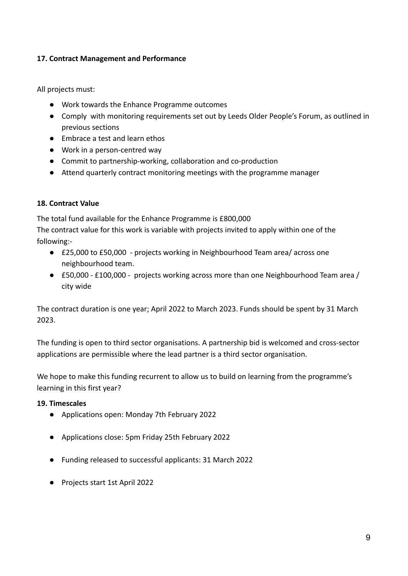## **17. Contract Management and Performance**

All projects must:

- Work towards the Enhance Programme outcomes
- Comply with monitoring requirements set out by Leeds Older People's Forum, as outlined in previous sections
- Embrace a test and learn ethos
- Work in a person-centred way
- Commit to partnership-working, collaboration and co-production
- Attend quarterly contract monitoring meetings with the programme manager

## **18. Contract Value**

The total fund available for the Enhance Programme is £800,000 The contract value for this work is variable with projects invited to apply within one of the

following:-

- £25,000 to £50,000 projects working in Neighbourhood Team area/ across one neighbourhood team.
- £50,000 £100,000 projects working across more than one Neighbourhood Team area / city wide

The contract duration is one year; April 2022 to March 2023. Funds should be spent by 31 March 2023.

The funding is open to third sector organisations. A partnership bid is welcomed and cross-sector applications are permissible where the lead partner is a third sector organisation.

We hope to make this funding recurrent to allow us to build on learning from the programme's learning in this first year?

## **19. Timescales**

- Applications open: Monday 7th February 2022
- Applications close: 5pm Friday 25th February 2022
- Funding released to successful applicants: 31 March 2022
- Projects start 1st April 2022